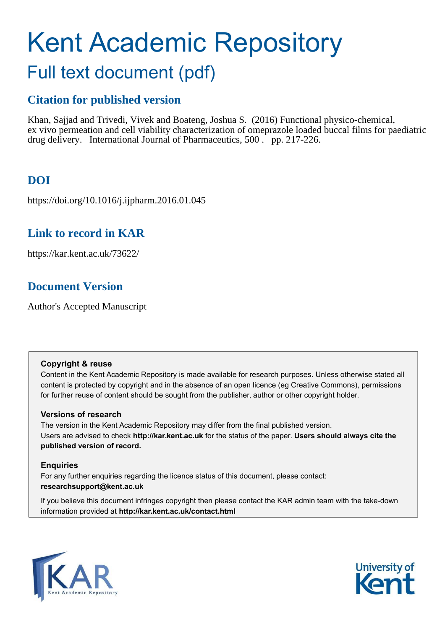# Kent Academic Repository

## Full text document (pdf)

## **Citation for published version**

Khan, Sajjad and Trivedi, Vivek and Boateng, Joshua S. (2016) Functional physico-chemical, ex vivo permeation and cell viability characterization of omeprazole loaded buccal films for paediatric drug delivery. International Journal of Pharmaceutics, 500 . pp. 217-226.

## **DOI**

https://doi.org/10.1016/j.ijpharm.2016.01.045

## **Link to record in KAR**

https://kar.kent.ac.uk/73622/

## **Document Version**

Author's Accepted Manuscript

#### **Copyright & reuse**

Content in the Kent Academic Repository is made available for research purposes. Unless otherwise stated all content is protected by copyright and in the absence of an open licence (eg Creative Commons), permissions for further reuse of content should be sought from the publisher, author or other copyright holder.

#### **Versions of research**

The version in the Kent Academic Repository may differ from the final published version. Users are advised to check **http://kar.kent.ac.uk** for the status of the paper. **Users should always cite the published version of record.**

#### **Enquiries**

For any further enquiries regarding the licence status of this document, please contact: **researchsupport@kent.ac.uk**

If you believe this document infringes copyright then please contact the KAR admin team with the take-down information provided at **http://kar.kent.ac.uk/contact.html**



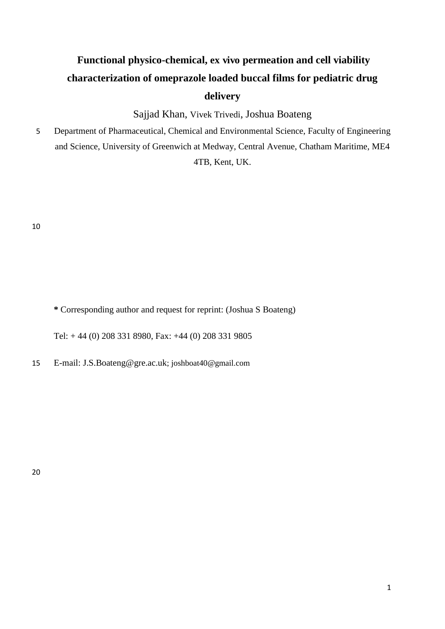## **Functional physico-chemical, ex vivo permeation and cell viability characterization of omeprazole loaded buccal films for pediatric drug delivery**

Sajjad Khan, Vivek Trivedi, Joshua Boateng

5 Department of Pharmaceutical, Chemical and Environmental Science, Faculty of Engineering and Science, University of Greenwich at Medway, Central Avenue, Chatham Maritime, ME4 4TB, Kent, UK.

10

**\*** Corresponding author and request for reprint: (Joshua S Boateng)

Tel: + 44 (0) 208 331 8980, Fax: +44 (0) 208 331 9805

15 E-mail: [J.S.Boateng@gre.ac.uk](mailto:J.S.Boateng@gre.ac.uk); joshboat40@gmail.com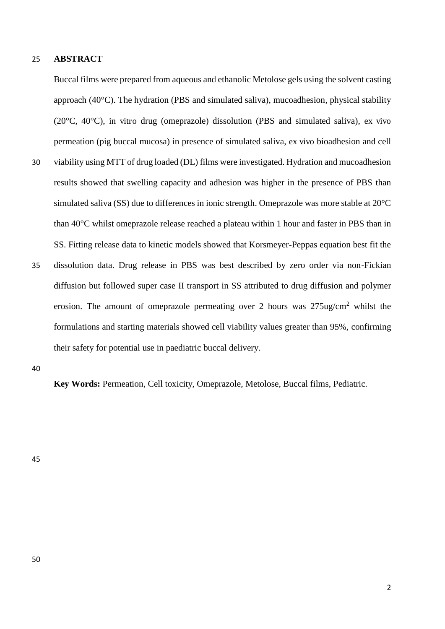#### 25 **ABSTRACT**

Buccal films were prepared from aqueous and ethanolic Metolose gels using the solvent casting approach (40°C). The hydration (PBS and simulated saliva), mucoadhesion, physical stability (20 $^{\circ}$ C, 40 $^{\circ}$ C), in vitro drug (omeprazole) dissolution (PBS and simulated saliva), ex vivo permeation (pig buccal mucosa) in presence of simulated saliva, ex vivo bioadhesion and cell

- 30 viability using MTT of drug loaded (DL) films were investigated. Hydration and mucoadhesion results showed that swelling capacity and adhesion was higher in the presence of PBS than simulated saliva (SS) due to differences in ionic strength. Omeprazole was more stable at 20°C than 40°C whilst omeprazole release reached a plateau within 1 hour and faster in PBS than in SS. Fitting release data to kinetic models showed that Korsmeyer-Peppas equation best fit the
- 35 dissolution data. Drug release in PBS was best described by zero order via non-Fickian diffusion but followed super case II transport in SS attributed to drug diffusion and polymer erosion. The amount of omeprazole permeating over 2 hours was  $275$ ug/cm<sup>2</sup> whilst the formulations and starting materials showed cell viability values greater than 95%, confirming their safety for potential use in paediatric buccal delivery.

40

**Key Words:** Permeation, Cell toxicity, Omeprazole, Metolose, Buccal films, Pediatric.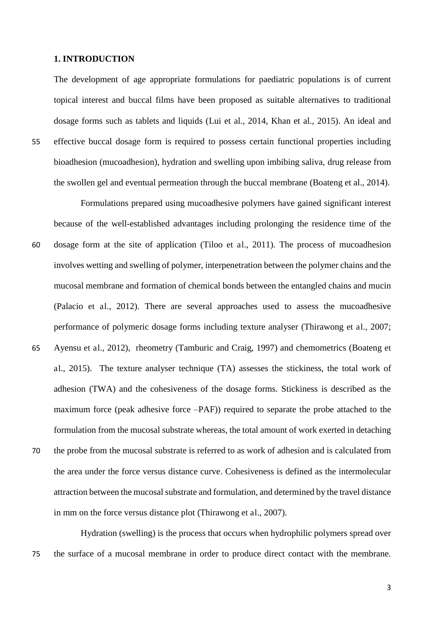#### **1. INTRODUCTION**

The development of age appropriate formulations for paediatric populations is of current topical interest and buccal films have been proposed as suitable alternatives to traditional dosage forms such as tablets and liquids (Lui et al., 2014, Khan et al., 2015). An ideal and 55 effective buccal dosage form is required to possess certain functional properties including bioadhesion (mucoadhesion), hydration and swelling upon imbibing saliva, drug release from the swollen gel and eventual permeation through the buccal membrane (Boateng et al., 2014).

Formulations prepared using mucoadhesive polymers have gained significant interest because of the well-established advantages including prolonging the residence time of the 60 dosage form at the site of application (Tiloo et al., 2011). The process of mucoadhesion involves wetting and swelling of polymer, interpenetration between the polymer chains and the mucosal membrane and formation of chemical bonds between the entangled chains and mucin (Palacio et al., 2012). There are several approaches used to assess the mucoadhesive performance of polymeric dosage forms including texture analyser (Thirawong et al., 2007; 65 Ayensu et al., 2012), rheometry (Tamburic and Craig, 1997) and chemometrics (Boateng et al., 2015). The texture analyser technique (TA) assesses the stickiness, the total work of adhesion (TWA) and the cohesiveness of the dosage forms. Stickiness is described as the maximum force (peak adhesive force –PAF)) required to separate the probe attached to the formulation from the mucosal substrate whereas, the total amount of work exerted in detaching 70 the probe from the mucosal substrate is referred to as work of adhesion and is calculated from the area under the force versus distance curve. Cohesiveness is defined as the intermolecular attraction between the mucosal substrate and formulation, and determined by the travel distance in mm on the force versus distance plot (Thirawong et al., 2007).

Hydration (swelling) is the process that occurs when hydrophilic polymers spread over 75 the surface of a mucosal membrane in order to produce direct contact with the membrane.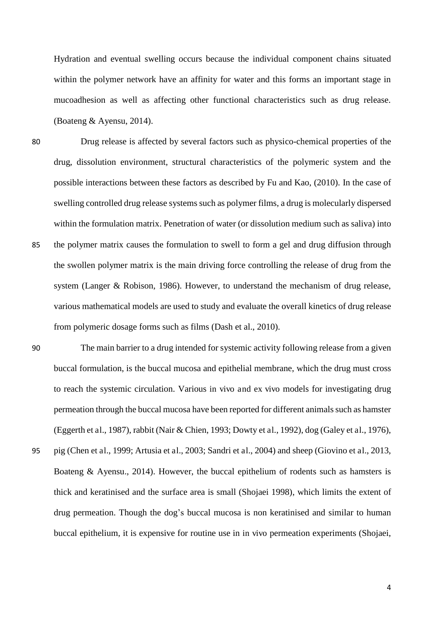Hydration and eventual swelling occurs because the individual component chains situated within the polymer network have an affinity for water and this forms an important stage in mucoadhesion as well as affecting other functional characteristics such as drug release. (Boateng & Ayensu, 2014).

- 80 Drug release is affected by several factors such as physico-chemical properties of the drug, dissolution environment, structural characteristics of the polymeric system and the possible interactions between these factors as described by Fu and Kao, (2010). In the case of swelling controlled drug release systems such as polymer films, a drug is molecularly dispersed within the formulation matrix. Penetration of water (or dissolution medium such as saliva) into 85 the polymer matrix causes the formulation to swell to form a gel and drug diffusion through the swollen polymer matrix is the main driving force controlling the release of drug from the system (Langer & Robison, 1986). However, to understand the mechanism of drug release, various mathematical models are used to study and evaluate the overall kinetics of drug release from polymeric dosage forms such as films (Dash et al., 2010).
- 90 The main barrier to a drug intended for systemic activity following release from a given buccal formulation, is the buccal mucosa and epithelial membrane, which the drug must cross to reach the systemic circulation. Various in vivo and ex vivo models for investigating drug permeation through the buccal mucosa have been reported for different animals such as hamster (Eggerth et al., 1987), rabbit (Nair & Chien, 1993; Dowty et al., 1992), dog (Galey et al., 1976), 95 pig (Chen et al., 1999; Artusia et al., 2003; Sandri et al., 2004) and sheep (Giovino et al., 2013, Boateng & Ayensu., 2014). However, the buccal epithelium of rodents such as hamsters is thick and keratinised and the surface area is small (Shojaei 1998), which limits the extent of drug permeation. Though the dog's buccal mucosa is non keratinised and similar to human buccal epithelium, it is expensive for routine use in in vivo permeation experiments (Shojaei,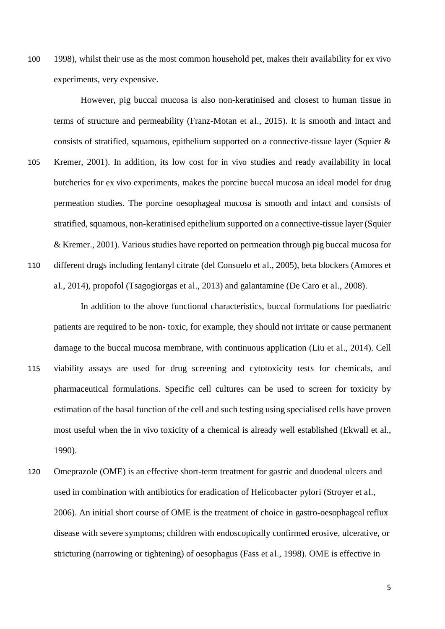100 1998), whilst their use as the most common household pet, makes their availability for ex vivo experiments, very expensive.

However, pig buccal mucosa is also non-keratinised and closest to human tissue in terms of structure and permeability (Franz-Motan et al., 2015). It is smooth and intact and consists of stratified, squamous, epithelium supported on a connective-tissue layer (Squier & 105 Kremer, 2001). In addition, its low cost for in vivo studies and ready availability in local butcheries for ex vivo experiments, makes the porcine buccal mucosa an ideal model for drug permeation studies. The porcine oesophageal mucosa is smooth and intact and consists of stratified, squamous, non-keratinised epithelium supported on a connective-tissue layer (Squier & Kremer., 2001). Various studies have reported on permeation through pig buccal mucosa for 110 different drugs including fentanyl citrate (del Consuelo et al., 2005), beta blockers (Amores et al., 2014), propofol (Tsagogiorgas et al., 2013) and galantamine (De Caro et al., 2008).

 In addition to the above functional characteristics, buccal formulations for paediatric patients are required to be non- toxic, for example, they should not irritate or cause permanent damage to the buccal mucosa membrane, with continuous application (Liu et al., 2014). Cell 115 viability assays are used for drug screening and cytotoxicity tests for chemicals, and pharmaceutical formulations. Specific cell cultures can be used to screen for toxicity by estimation of the basal function of the cell and such testing using specialised cells have proven most useful when the in vivo toxicity of a chemical is already well established (Ekwall et al., 1990).

120 Omeprazole (OME) is an effective short-term treatment for gastric and duodenal ulcers and used in combination with antibiotics for eradication of Helicobacter pylori (Stroyer et al., 2006). An initial short course of OME is the treatment of choice in gastro-oesophageal reflux disease with severe symptoms; children with endoscopically confirmed erosive, ulcerative, or stricturing (narrowing or tightening) of oesophagus (Fass et al., 1998). OME is effective in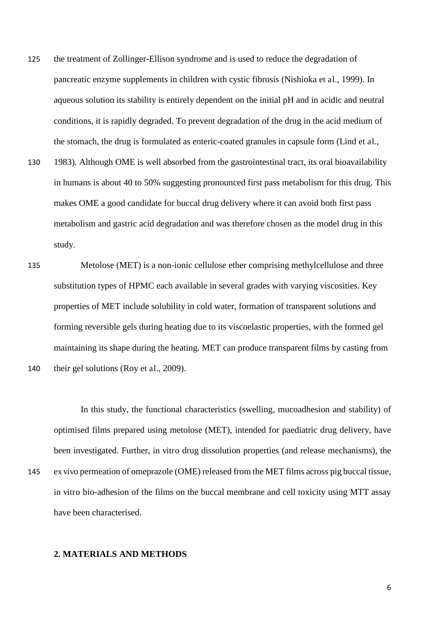- 125 the treatment of Zollinger-Ellison syndrome and is used to reduce the degradation of pancreatic enzyme supplements in children with cystic fibrosis (Nishioka et al., 1999). In aqueous solution its stability is entirely dependent on the initial pH and in acidic and neutral conditions, it is rapidly degraded. To prevent degradation of the drug in the acid medium of the stomach, the drug is formulated as enteric-coated granules in capsule form (Lind et al.,
- 130 1983). Although OME is well absorbed from the gastrointestinal tract, its oral bioavailability in humans is about 40 to 50% suggesting pronounced first pass metabolism for this drug. This makes OME a good candidate for buccal drug delivery where it can avoid both first pass metabolism and gastric acid degradation and was therefore chosen as the model drug in this study.
- 135 Metolose (MET) is a non-ionic cellulose ether comprising methylcellulose and three substitution types of HPMC each available in several grades with varying viscosities. Key properties of MET include solubility in cold water, formation of transparent solutions and forming reversible gels during heating due to its viscoelastic properties, with the formed gel maintaining its shape during the heating. MET can produce transparent films by casting from 140 their gel solutions (Roy et al., 2009).

In this study, the functional characteristics (swelling, mucoadhesion and stability) of optimised films prepared using metolose (MET), intended for paediatric drug delivery, have been investigated. Further, in vitro drug dissolution properties (and release mechanisms), the

145 ex vivo permeation of omeprazole (OME) released from the MET films across pig buccal tissue, in vitro bio-adhesion of the films on the buccal membrane and cell toxicity using MTT assay have been characterised.

#### **2. MATERIALS AND METHODS**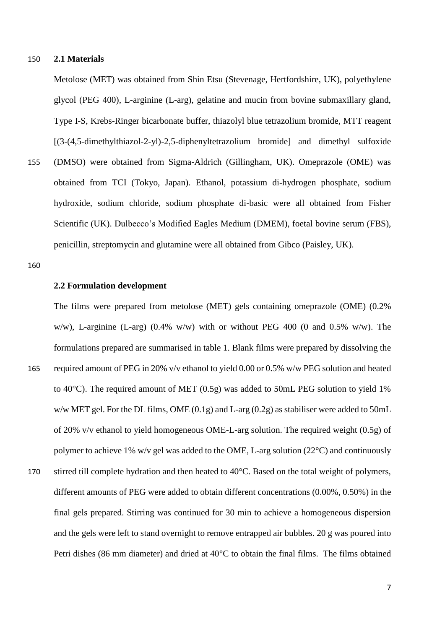#### 150 **2.1 Materials**

Metolose (MET) was obtained from Shin Etsu (Stevenage, Hertfordshire, UK), polyethylene glycol (PEG 400), L-arginine (L-arg), gelatine and mucin from bovine submaxillary gland, Type I-S, Krebs-Ringer bicarbonate buffer, thiazolyl blue tetrazolium bromide, MTT reagent [(3-(4,5-dimethylthiazol-2-yl)-2,5-diphenyltetrazolium bromide] and dimethyl sulfoxide 155 (DMSO) were obtained from Sigma-Aldrich (Gillingham, UK). Omeprazole (OME) was obtained from TCI (Tokyo, Japan). Ethanol, potassium di-hydrogen phosphate, sodium hydroxide, sodium chloride, sodium phosphate di-basic were all obtained from Fisher Scientific (UK). Dulbecco's Modified Eagles Medium (DMEM), foetal bovine serum (FBS),

penicillin, streptomycin and glutamine were all obtained from Gibco (Paisley, UK).

160

#### **2.2 Formulation development**

The films were prepared from metolose (MET) gels containing omeprazole (OME) (0.2% w/w), L-arginine (L-arg) (0.4% w/w) with or without PEG 400 (0 and 0.5% w/w). The formulations prepared are summarised in table 1. Blank films were prepared by dissolving the 165 required amount of PEG in 20% v/v ethanol to yield 0.00 or 0.5% w/w PEG solution and heated to 40°C). The required amount of MET (0.5g) was added to 50mL PEG solution to yield 1% w/w MET gel. For the DL films, OME (0.1g) and L-arg (0.2g) as stabiliser were added to 50mL of 20% v/v ethanol to yield homogeneous OME-L-arg solution. The required weight (0.5g) of polymer to achieve 1% w/v gel was added to the OME, L-arg solution (22**°**C) and continuously

170 stirred till complete hydration and then heated to 40<sup>o</sup>C. Based on the total weight of polymers, different amounts of PEG were added to obtain different concentrations (0.00%, 0.50%) in the final gels prepared. Stirring was continued for 30 min to achieve a homogeneous dispersion and the gels were left to stand overnight to remove entrapped air bubbles. 20 g was poured into Petri dishes (86 mm diameter) and dried at 40**°**C to obtain the final films. The films obtained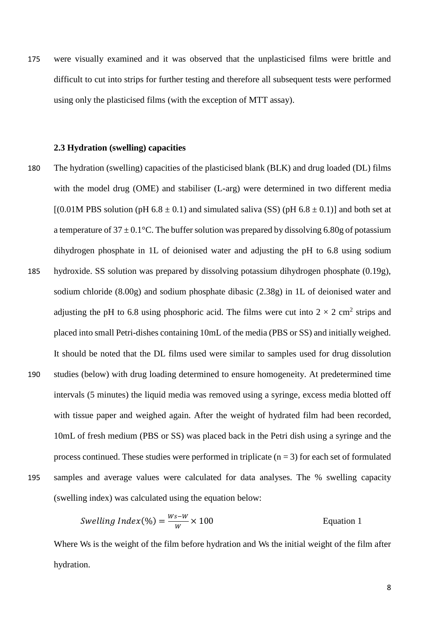175 were visually examined and it was observed that the unplasticised films were brittle and difficult to cut into strips for further testing and therefore all subsequent tests were performed using only the plasticised films (with the exception of MTT assay).

#### **2.3 Hydration (swelling) capacities**

180 The hydration (swelling) capacities of the plasticised blank (BLK) and drug loaded (DL) films with the model drug (OME) and stabiliser (L-arg) were determined in two different media  $[(0.01M$  PBS solution (pH 6.8  $\pm$  0.1) and simulated saliva (SS) (pH 6.8  $\pm$  0.1)] and both set at a temperature of  $37 \pm 0.1$ °C. The buffer solution was prepared by dissolving 6.80g of potassium dihydrogen phosphate in 1L of deionised water and adjusting the pH to 6.8 using sodium 185 hydroxide. SS solution was prepared by dissolving potassium dihydrogen phosphate (0.19g), sodium chloride (8.00g) and sodium phosphate dibasic (2.38g) in 1L of deionised water and adjusting the pH to 6.8 using phosphoric acid. The films were cut into  $2 \times 2$  cm<sup>2</sup> strips and placed into small Petri-dishes containing 10mL of the media (PBS or SS) and initially weighed. It should be noted that the DL films used were similar to samples used for drug dissolution 190 studies (below) with drug loading determined to ensure homogeneity. At predetermined time intervals (5 minutes) the liquid media was removed using a syringe, excess media blotted off with tissue paper and weighed again. After the weight of hydrated film had been recorded, 10mL of fresh medium (PBS or SS) was placed back in the Petri dish using a syringe and the process continued. These studies were performed in triplicate  $(n = 3)$  for each set of formulated 195 samples and average values were calculated for data analyses. The % swelling capacity (swelling index) was calculated using the equation below:

$$
Swelling Index(\%) = \frac{Ws - W}{W} \times 100
$$
 Equation 1

Where Ws is the weight of the film before hydration and Ws the initial weight of the film after hydration.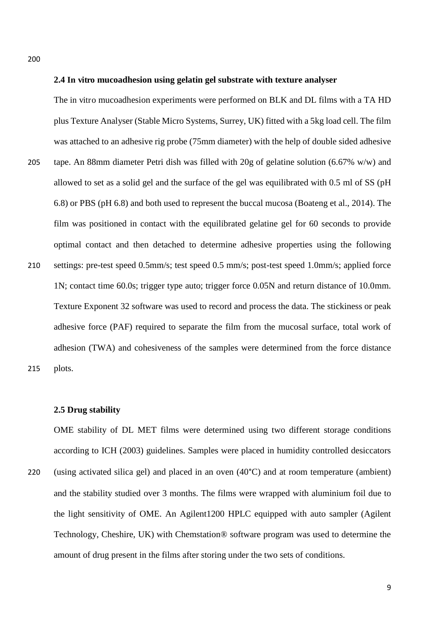200

#### **2.4 In vitro mucoadhesion using gelatin gel substrate with texture analyser**

The in vitro mucoadhesion experiments were performed on BLK and DL films with a TA HD plus Texture Analyser (Stable Micro Systems, Surrey, UK) fitted with a 5kg load cell. The film was attached to an adhesive rig probe (75mm diameter) with the help of double sided adhesive 205 tape. An 88mm diameter Petri dish was filled with 20g of gelatine solution (6.67% w/w) and allowed to set as a solid gel and the surface of the gel was equilibrated with 0.5 ml of SS (pH 6.8) or PBS (pH 6.8) and both used to represent the buccal mucosa (Boateng et al., 2014). The film was positioned in contact with the equilibrated gelatine gel for 60 seconds to provide optimal contact and then detached to determine adhesive properties using the following 210 settings: pre-test speed 0.5mm/s; test speed 0.5 mm/s; post-test speed 1.0mm/s; applied force 1N; contact time 60.0s; trigger type auto; trigger force 0.05N and return distance of 10.0mm. Texture Exponent 32 software was used to record and process the data. The stickiness or peak adhesive force (PAF) required to separate the film from the mucosal surface, total work of adhesion (TWA) and cohesiveness of the samples were determined from the force distance 215 plots.

#### **2.5 Drug stability**

OME stability of DL MET films were determined using two different storage conditions according to ICH (2003) guidelines. Samples were placed in humidity controlled desiccators

220 (using activated silica gel) and placed in an oven (40°C) and at room temperature (ambient) and the stability studied over 3 months. The films were wrapped with aluminium foil due to the light sensitivity of OME. An Agilent1200 HPLC equipped with auto sampler (Agilent Technology, Cheshire, UK) with Chemstation® software program was used to determine the amount of drug present in the films after storing under the two sets of conditions.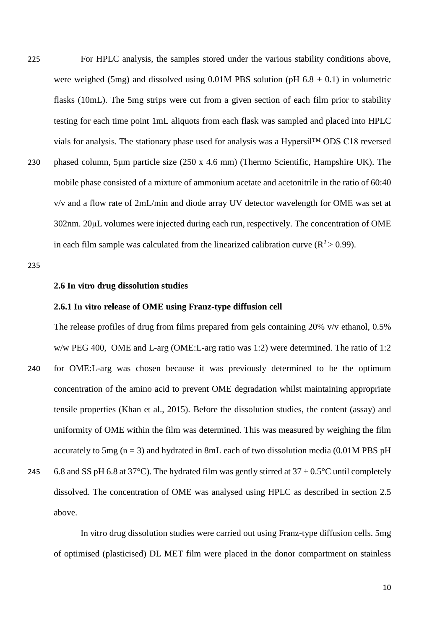225 For HPLC analysis, the samples stored under the various stability conditions above, were weighed (5mg) and dissolved using  $0.01M$  PBS solution (pH 6.8  $\pm$  0.1) in volumetric flasks (10mL). The 5mg strips were cut from a given section of each film prior to stability testing for each time point 1mL aliquots from each flask was sampled and placed into HPLC vials for analysis. The stationary phase used for analysis was a Hypersil™ ODS C18 reversed 230 phased column, 5µm particle size (250 x 4.6 mm) (Thermo Scientific, Hampshire UK). The mobile phase consisted of a mixture of ammonium acetate and acetonitrile in the ratio of 60:40 v/v and a flow rate of 2mL/min and diode array UV detector wavelength for OME was set at 302nm. 20μL volumes were injected during each run, respectively. The concentration of OME in each film sample was calculated from the linearized calibration curve ( $R^2 > 0.99$ ).

235

#### **2.6 In vitro drug dissolution studies**

#### **2.6.1 In vitro release of OME using Franz-type diffusion cell**

The release profiles of drug from films prepared from gels containing 20% v/v ethanol, 0.5% w/w PEG 400, OME and L-arg (OME:L-arg ratio was 1:2) were determined. The ratio of 1:2

- 240 for OME:L-arg was chosen because it was previously determined to be the optimum concentration of the amino acid to prevent OME degradation whilst maintaining appropriate tensile properties (Khan et al., 2015). Before the dissolution studies, the content (assay) and uniformity of OME within the film was determined. This was measured by weighing the film accurately to 5mg  $(n = 3)$  and hydrated in 8mL each of two dissolution media (0.01M PBS pH
- 245 6.8 and SS pH 6.8 at 37°C). The hydrated film was gently stirred at  $37 \pm 0.5$ °C until completely dissolved. The concentration of OME was analysed using HPLC as described in section 2.5 above.

In vitro drug dissolution studies were carried out using Franz-type diffusion cells. 5mg of optimised (plasticised) DL MET film were placed in the donor compartment on stainless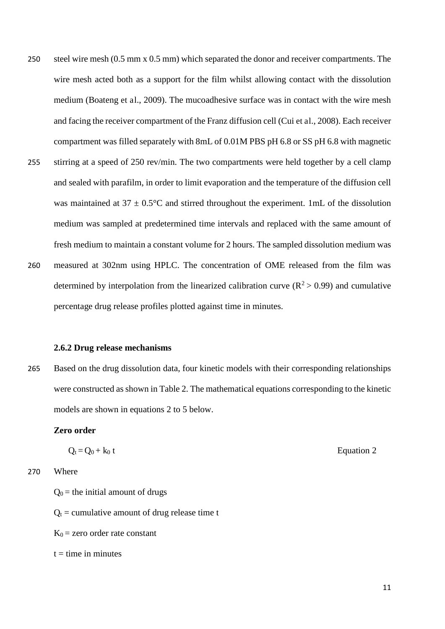250 steel wire mesh (0.5 mm x 0.5 mm) which separated the donor and receiver compartments. The wire mesh acted both as a support for the film whilst allowing contact with the dissolution medium (Boateng et al., 2009). The mucoadhesive surface was in contact with the wire mesh and facing the receiver compartment of the Franz diffusion cell (Cui et al., 2008). Each receiver compartment was filled separately with 8mL of 0.01M PBS pH 6.8 or SS pH 6.8 with magnetic 255 stirring at a speed of 250 rev/min. The two compartments were held together by a cell clamp and sealed with parafilm, in order to limit evaporation and the temperature of the diffusion cell was maintained at  $37 \pm 0.5^{\circ}$ C and stirred throughout the experiment. 1mL of the dissolution medium was sampled at predetermined time intervals and replaced with the same amount of fresh medium to maintain a constant volume for 2 hours. The sampled dissolution medium was 260 measured at 302nm using HPLC. The concentration of OME released from the film was determined by interpolation from the linearized calibration curve ( $\mathbb{R}^2 > 0.99$ ) and cumulative

- **2.6.2 Drug release mechanisms**
- 265 Based on the drug dissolution data, four kinetic models with their corresponding relationships were constructed as shown in Table 2. The mathematical equations corresponding to the kinetic models are shown in equations 2 to 5 below.

#### **Zero order**

$$
Q_t = Q_0 + k_0 t
$$

percentage drug release profiles plotted against time in minutes.

270 Where

 $Q_0$  = the initial amount of drugs

- $Q_t$  = cumulative amount of drug release time t
- $K_0$  = zero order rate constant
- $t =$  time in minutes

11

Equation 2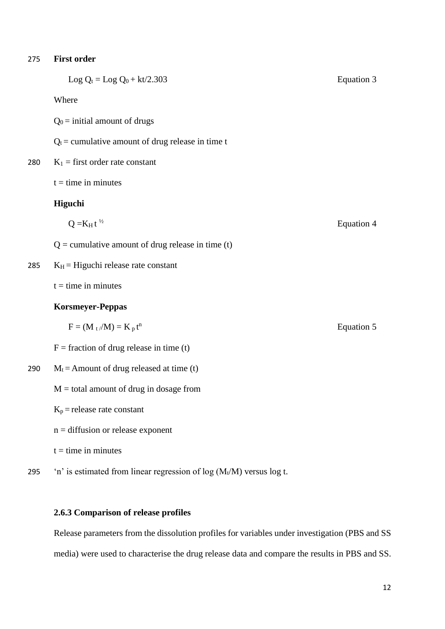#### 275 **First order**

|     | Log $Q_t = Log Q_0 + kt/2.303$                      | <b>Equation 3</b> |
|-----|-----------------------------------------------------|-------------------|
|     | Where                                               |                   |
|     | $Q_0$ = initial amount of drugs                     |                   |
|     | $Q_t$ = cumulative amount of drug release in time t |                   |
| 280 | $K_1$ = first order rate constant                   |                   |
|     | $t =$ time in minutes                               |                   |
|     | Higuchi                                             |                   |
|     | $Q = K_H t^{1/2}$                                   | Equation 4        |
|     | $Q =$ cumulative amount of drug release in time (t) |                   |
| 285 | $K_H$ = Higuchi release rate constant               |                   |
|     | $t =$ time in minutes                               |                   |
|     | <b>Korsmeyer-Peppas</b>                             |                   |
|     | $F = (M_t/M) = K_p t^n$                             | Equation 5        |
|     | $F =$ fraction of drug release in time (t)          |                   |
| 290 | $M_t$ = Amount of drug released at time (t)         |                   |
|     | $M =$ total amount of drug in dosage from           |                   |

#### $K_p$  = release rate constant

- n = diffusion or release exponent
- $t =$  time in minutes
- 295 'n' is estimated from linear regression of  $log(M_t/M)$  versus  $log t$ .

#### **2.6.3 Comparison of release profiles**

Release parameters from the dissolution profiles for variables under investigation (PBS and SS media) were used to characterise the drug release data and compare the results in PBS and SS.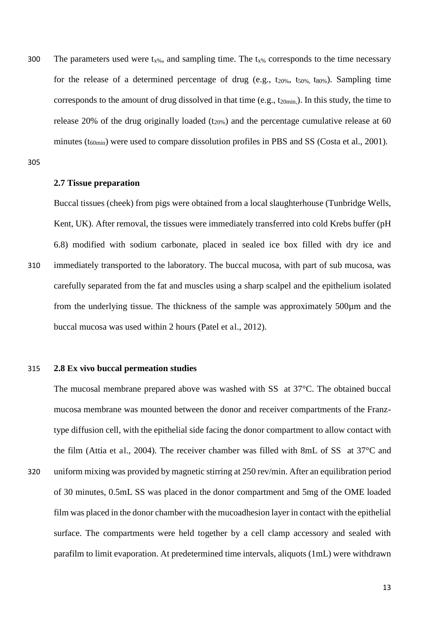300 The parameters used were  $t_{x\%}$ , and sampling time. The  $t_{x\%}$  corresponds to the time necessary for the release of a determined percentage of drug (e.g.,  $t_{20\%}$ ,  $t_{50\%}$ ,  $t_{80\%}$ ). Sampling time corresponds to the amount of drug dissolved in that time (e.g.,  $t_{20min}$ ). In this study, the time to release 20% of the drug originally loaded  $(t_{20\%})$  and the percentage cumulative release at 60 minutes  $(t_{60min})$  were used to compare dissolution profiles in PBS and SS (Costa et al., 2001).

305

#### **2.7 Tissue preparation**

Buccal tissues (cheek) from pigs were obtained from a local slaughterhouse (Tunbridge Wells, Kent, UK). After removal, the tissues were immediately transferred into cold Krebs buffer (pH) 6.8) modified with sodium carbonate, placed in sealed ice box filled with dry ice and 310 immediately transported to the laboratory. The buccal mucosa, with part of sub mucosa, was carefully separated from the fat and muscles using a sharp scalpel and the epithelium isolated from the underlying tissue. The thickness of the sample was approximately 500µm and the buccal mucosa was used within 2 hours (Patel et al., 2012).

#### 315 **2.8 Ex vivo buccal permeation studies**

The mucosal membrane prepared above was washed with SS at 37°C. The obtained buccal mucosa membrane was mounted between the donor and receiver compartments of the Franztype diffusion cell, with the epithelial side facing the donor compartment to allow contact with the film (Attia et al., 2004). The receiver chamber was filled with 8mL of SS at 37°C and 320 uniform mixing was provided by magnetic stirring at 250 rev/min. After an equilibration period of 30 minutes, 0.5mL SS was placed in the donor compartment and 5mg of the OME loaded

film was placed in the donor chamber with the mucoadhesion layer in contact with the epithelial surface. The compartments were held together by a cell clamp accessory and sealed with parafilm to limit evaporation. At predetermined time intervals, aliquots (1mL) were withdrawn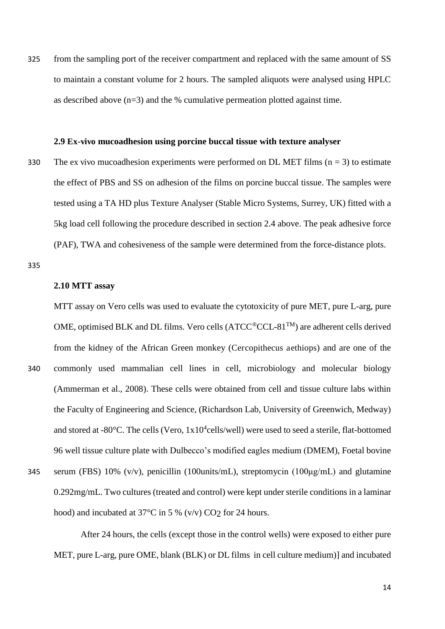325 from the sampling port of the receiver compartment and replaced with the same amount of SS to maintain a constant volume for 2 hours. The sampled aliquots were analysed using HPLC as described above  $(n=3)$  and the % cumulative permeation plotted against time.

#### **2.9 Ex-vivo mucoadhesion using porcine buccal tissue with texture analyser**

330 The ex vivo mucoadhesion experiments were performed on DL MET films ( $n = 3$ ) to estimate the effect of PBS and SS on adhesion of the films on porcine buccal tissue. The samples were tested using a TA HD plus Texture Analyser (Stable Micro Systems, Surrey, UK) fitted with a 5kg load cell following the procedure described in section 2.4 above. The peak adhesive force (PAF), TWA and cohesiveness of the sample were determined from the force-distance plots.

335

#### **2.10 MTT assay**

MTT assay on Vero cells was used to evaluate the cytotoxicity of pure MET, pure L-arg, pure OME, optimised BLK and DL films. Vero cells (ATCC®CCL-81<sup>TM</sup>) are adherent cells derived from the kidney of the African Green monkey (Cercopithecus aethiops) and are one of the 340 commonly used mammalian cell lines in cell, microbiology and molecular biology (Ammerman et al., 2008). These cells were obtained from cell and tissue culture labs within the Faculty of Engineering and Science, (Richardson Lab, University of Greenwich, Medway) and stored at -80 $^{\circ}$ C. The cells (Vero, 1x10<sup>4</sup>cells/well) were used to seed a sterile, flat-bottomed 96 well tissue culture plate with Dulbecco's modified eagles medium (DMEM), Foetal bovine

345 serum (FBS) 10% (v/v), penicillin (100units/mL), streptomycin (100μg/mL) and glutamine 0.292mg/mL. Two cultures (treated and control) were kept under sterile conditions in a laminar hood) and incubated at 37°C in 5 % (v/v) CO<sub>2</sub> for 24 hours.

After 24 hours, the cells (except those in the control wells) were exposed to either pure MET, pure L-arg, pure OME, blank (BLK) or DL films in cell culture medium)] and incubated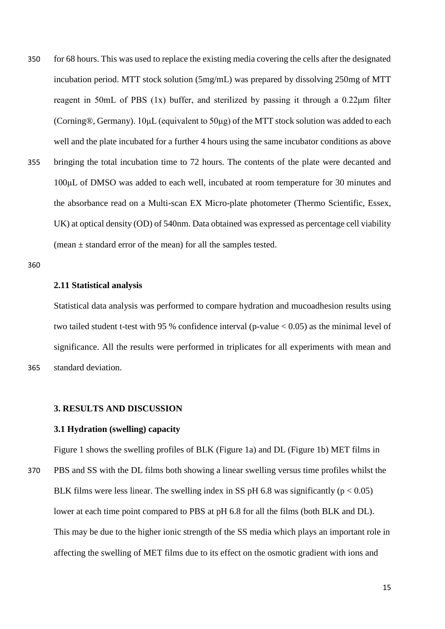350 for 68 hours. This was used to replace the existing media covering the cells after the designated incubation period. MTT stock solution (5mg/mL) was prepared by dissolving 250mg of MTT reagent in 50mL of PBS (1x) buffer, and sterilized by passing it through a 0.22μm filter (Corning®, Germany). 10μL (equivalent to 50μg) of the MTT stock solution was added to each well and the plate incubated for a further 4 hours using the same incubator conditions as above 355 bringing the total incubation time to 72 hours. The contents of the plate were decanted and 100μL of DMSO was added to each well, incubated at room temperature for 30 minutes and the absorbance read on a Multi-scan EX Micro-plate photometer (Thermo Scientific, Essex, UK) at optical density (OD) of 540nm. Data obtained was expressed as percentage cell viability (mean  $\pm$  standard error of the mean) for all the samples tested.

360

#### **2.11 Statistical analysis**

Statistical data analysis was performed to compare hydration and mucoadhesion results using two tailed student t-test with 95 % confidence interval (p-value < 0.05) as the minimal level of significance. All the results were performed in triplicates for all experiments with mean and 365 standard deviation.

#### **3. RESULTS AND DISCUSSION**

#### **3.1 Hydration (swelling) capacity**

Figure 1 shows the swelling profiles of BLK (Figure 1a) and DL (Figure 1b) MET films in

370 PBS and SS with the DL films both showing a linear swelling versus time profiles whilst the BLK films were less linear. The swelling index in SS pH 6.8 was significantly ( $p < 0.05$ ) lower at each time point compared to PBS at pH 6.8 for all the films (both BLK and DL). This may be due to the higher ionic strength of the SS media which plays an important role in affecting the swelling of MET films due to its effect on the osmotic gradient with ions and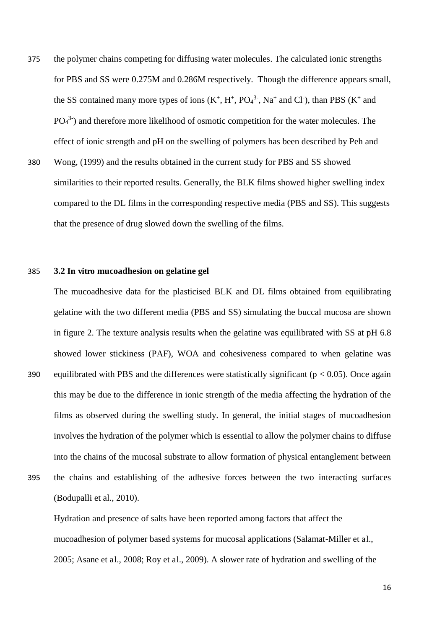- 375 the polymer chains competing for diffusing water molecules. The calculated ionic strengths for PBS and SS were 0.275M and 0.286M respectively. Though the difference appears small, the SS contained many more types of ions  $(K^+, H^+, PO_4^3, Na^+$  and Cl<sup>-</sup>), than PBS  $(K^+$  and  $PO<sub>4</sub><sup>3</sup>$ ) and therefore more likelihood of osmotic competition for the water molecules. The effect of ionic strength and pH on the swelling of polymers has been described by Peh and
- 380 Wong, (1999) and the results obtained in the current study for PBS and SS showed similarities to their reported results. Generally, the BLK films showed higher swelling index compared to the DL films in the corresponding respective media (PBS and SS). This suggests that the presence of drug slowed down the swelling of the films.

#### 385 **3.2 In vitro mucoadhesion on gelatine gel**

The mucoadhesive data for the plasticised BLK and DL films obtained from equilibrating gelatine with the two different media (PBS and SS) simulating the buccal mucosa are shown in figure 2. The texture analysis results when the gelatine was equilibrated with SS at pH 6.8 showed lower stickiness (PAF), WOA and cohesiveness compared to when gelatine was 390 equilibrated with PBS and the differences were statistically significant ( $p < 0.05$ ). Once again this may be due to the difference in ionic strength of the media affecting the hydration of the films as observed during the swelling study. In general, the initial stages of mucoadhesion involves the hydration of the polymer which is essential to allow the polymer chains to diffuse into the chains of the mucosal substrate to allow formation of physical entanglement between 395 the chains and establishing of the adhesive forces between the two interacting surfaces (Bodupalli et al., 2010).

Hydration and presence of salts have been reported among factors that affect the mucoadhesion of polymer based systems for mucosal applications (Salamat-Miller et al., 2005; Asane et al., 2008; Roy et al., 2009). A slower rate of hydration and swelling of the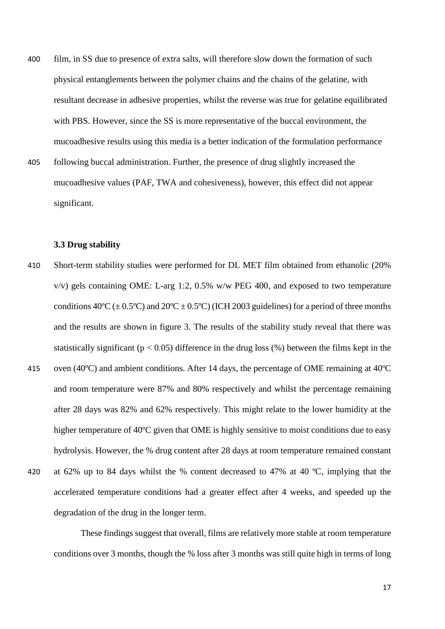- 400 film, in SS due to presence of extra salts, will therefore slow down the formation of such physical entanglements between the polymer chains and the chains of the gelatine, with resultant decrease in adhesive properties, whilst the reverse was true for gelatine equilibrated with PBS. However, since the SS is more representative of the buccal environment, the mucoadhesive results using this media is a better indication of the formulation performance
- 405 following buccal administration. Further, the presence of drug slightly increased the mucoadhesive values (PAF, TWA and cohesiveness), however, this effect did not appear significant.

#### **3.3 Drug stability**

- 410 Short-term stability studies were performed for DL MET film obtained from ethanolic (20% v/v) gels containing OME: L-arg 1:2, 0.5% w/w PEG 400, and exposed to two temperature conditions  $40^{\circ}C (\pm 0.5^{\circ}C)$  and  $20^{\circ}C \pm 0.5^{\circ}C$ ) (ICH 2003 guidelines) for a period of three months and the results are shown in figure 3. The results of the stability study reveal that there was statistically significant ( $p < 0.05$ ) difference in the drug loss (%) between the films kept in the
- 415 oven (40ºC) and ambient conditions. After 14 days, the percentage of OME remaining at 40ºC and room temperature were 87% and 80% respectively and whilst the percentage remaining after 28 days was 82% and 62% respectively. This might relate to the lower humidity at the higher temperature of 40<sup>o</sup>C given that OME is highly sensitive to moist conditions due to easy hydrolysis. However, the % drug content after 28 days at room temperature remained constant
- 420 at 62% up to 84 days whilst the % content decreased to 47% at 40 ºC, implying that the accelerated temperature conditions had a greater effect after 4 weeks, and speeded up the degradation of the drug in the longer term.

These findings suggest that overall, films are relatively more stable at room temperature conditions over 3 months, though the % loss after 3 months was still quite high in terms of long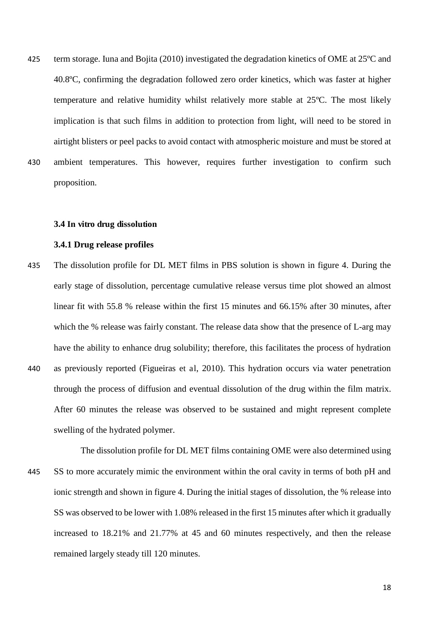425 term storage. Iuna and Bojita (2010) investigated the degradation kinetics of OME at 25ºC and 40.8ºC, confirming the degradation followed zero order kinetics, which was faster at higher temperature and relative humidity whilst relatively more stable at 25ºC. The most likely implication is that such films in addition to protection from light, will need to be stored in airtight blisters or peel packs to avoid contact with atmospheric moisture and must be stored at 430 ambient temperatures. This however, requires further investigation to confirm such proposition.

#### **3.4 In vitro drug dissolution**

#### **3.4.1 Drug release profiles**

- 435 The dissolution profile for DL MET films in PBS solution is shown in figure 4. During the early stage of dissolution, percentage cumulative release versus time plot showed an almost linear fit with 55.8 % release within the first 15 minutes and 66.15% after 30 minutes, after which the % release was fairly constant. The release data show that the presence of L-arg may have the ability to enhance drug solubility; therefore, this facilitates the process of hydration 440 as previously reported (Figueiras et al, 2010). This hydration occurs via water penetration through the process of diffusion and eventual dissolution of the drug within the film matrix. After 60 minutes the release was observed to be sustained and might represent complete swelling of the hydrated polymer.
- The dissolution profile for DL MET films containing OME were also determined using 445 SS to more accurately mimic the environment within the oral cavity in terms of both pH and ionic strength and shown in figure 4. During the initial stages of dissolution, the % release into SS was observed to be lower with 1.08% released in the first 15 minutes after which it gradually increased to 18.21% and 21.77% at 45 and 60 minutes respectively, and then the release remained largely steady till 120 minutes.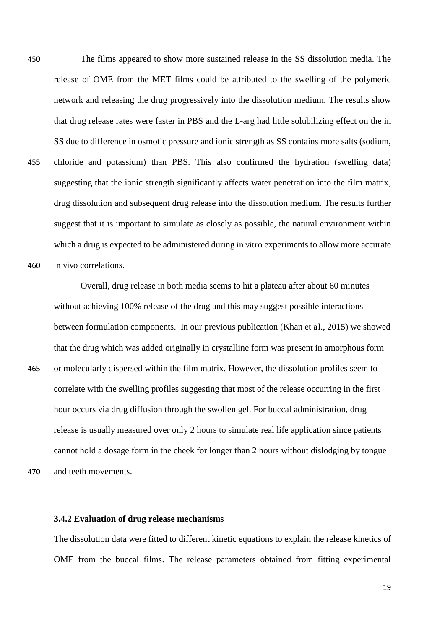450 The films appeared to show more sustained release in the SS dissolution media. The release of OME from the MET films could be attributed to the swelling of the polymeric network and releasing the drug progressively into the dissolution medium. The results show that drug release rates were faster in PBS and the L-arg had little solubilizing effect on the in SS due to difference in osmotic pressure and ionic strength as SS contains more salts (sodium, 455 chloride and potassium) than PBS. This also confirmed the hydration (swelling data) suggesting that the ionic strength significantly affects water penetration into the film matrix, drug dissolution and subsequent drug release into the dissolution medium. The results further suggest that it is important to simulate as closely as possible, the natural environment within which a drug is expected to be administered during in vitro experiments to allow more accurate 460 in vivo correlations.

Overall, drug release in both media seems to hit a plateau after about 60 minutes without achieving 100% release of the drug and this may suggest possible interactions between formulation components. In our previous publication (Khan et al., 2015) we showed that the drug which was added originally in crystalline form was present in amorphous form 465 or molecularly dispersed within the film matrix. However, the dissolution profiles seem to correlate with the swelling profiles suggesting that most of the release occurring in the first hour occurs via drug diffusion through the swollen gel. For buccal administration, drug release is usually measured over only 2 hours to simulate real life application since patients cannot hold a dosage form in the cheek for longer than 2 hours without dislodging by tongue 470 and teeth movements.

**3.4.2 Evaluation of drug release mechanisms** 

The dissolution data were fitted to different kinetic equations to explain the release kinetics of OME from the buccal films. The release parameters obtained from fitting experimental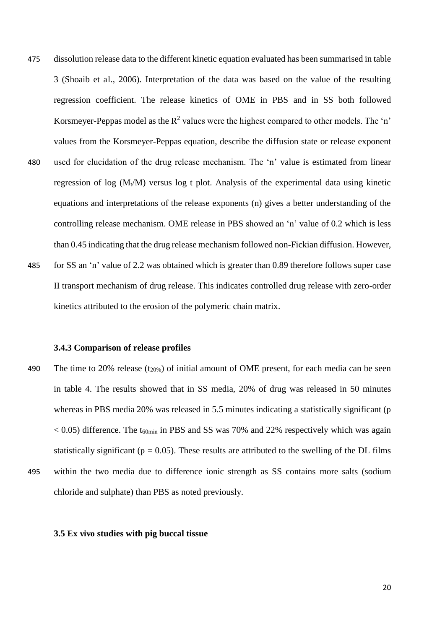- 475 dissolution release data to the different kinetic equation evaluated has been summarised in table 3 (Shoaib et al., 2006). Interpretation of the data was based on the value of the resulting regression coefficient. The release kinetics of OME in PBS and in SS both followed Korsmeyer-Peppas model as the  $R^2$  values were the highest compared to other models. The 'n' values from the Korsmeyer-Peppas equation, describe the diffusion state or release exponent 480 used for elucidation of the drug release mechanism. The 'n' value is estimated from linear regression of log  $(M_t/M)$  versus log t plot. Analysis of the experimental data using kinetic equations and interpretations of the release exponents (n) gives a better understanding of the controlling release mechanism. OME release in PBS showed an 'n' value of 0.2 which is less than 0.45 indicating that the drug release mechanism followed non-Fickian diffusion. However, 485 for SS an 'n' value of 2.2 was obtained which is greater than 0.89 therefore follows super case
- II transport mechanism of drug release. This indicates controlled drug release with zero-order kinetics attributed to the erosion of the polymeric chain matrix.

#### **3.4.3 Comparison of release profiles**

- 490 The time to 20% release  $(t_{20\%})$  of initial amount of OME present, for each media can be seen in table 4. The results showed that in SS media, 20% of drug was released in 50 minutes whereas in PBS media 20% was released in 5.5 minutes indicating a statistically significant (p  $< 0.05$ ) difference. The t<sub>60min</sub> in PBS and SS was 70% and 22% respectively which was again statistically significant ( $p = 0.05$ ). These results are attributed to the swelling of the DL films
- 495 within the two media due to difference ionic strength as SS contains more salts (sodium chloride and sulphate) than PBS as noted previously.

#### **3.5 Ex vivo studies with pig buccal tissue**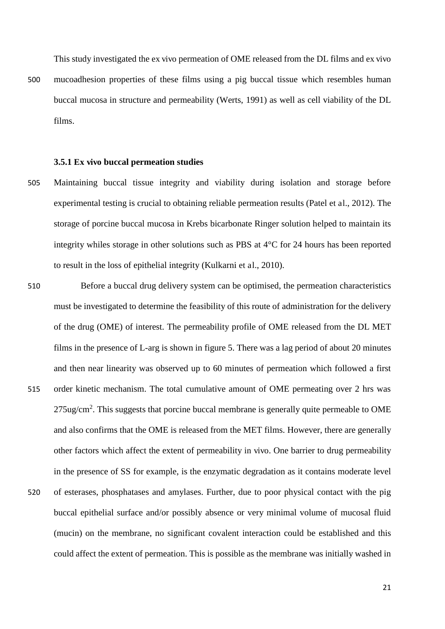This study investigated the ex vivo permeation of OME released from the DL films and ex vivo

500 mucoadhesion properties of these films using a pig buccal tissue which resembles human buccal mucosa in structure and permeability (Werts, 1991) as well as cell viability of the DL films.

#### **3.5.1 Ex vivo buccal permeation studies**

- 505 Maintaining buccal tissue integrity and viability during isolation and storage before experimental testing is crucial to obtaining reliable permeation results (Patel et al., 2012). The storage of porcine buccal mucosa in Krebs bicarbonate Ringer solution helped to maintain its integrity whiles storage in other solutions such as PBS at 4°C for 24 hours has been reported to result in the loss of epithelial integrity (Kulkarni et al., 2010).
- 510 Before a buccal drug delivery system can be optimised, the permeation characteristics must be investigated to determine the feasibility of this route of administration for the delivery of the drug (OME) of interest. The permeability profile of OME released from the DL MET films in the presence of L-arg is shown in figure 5. There was a lag period of about 20 minutes and then near linearity was observed up to 60 minutes of permeation which followed a first 515 order kinetic mechanism. The total cumulative amount of OME permeating over 2 hrs was 275ug/cm<sup>2</sup>. This suggests that porcine buccal membrane is generally quite permeable to OME and also confirms that the OME is released from the MET films. However, there are generally other factors which affect the extent of permeability in vivo. One barrier to drug permeability in the presence of SS for example, is the enzymatic degradation as it contains moderate level 520 of esterases, phosphatases and amylases. Further, due to poor physical contact with the pig buccal epithelial surface and/or possibly absence or very minimal volume of mucosal fluid (mucin) on the membrane, no significant covalent interaction could be established and this could affect the extent of permeation. This is possible as the membrane was initially washed in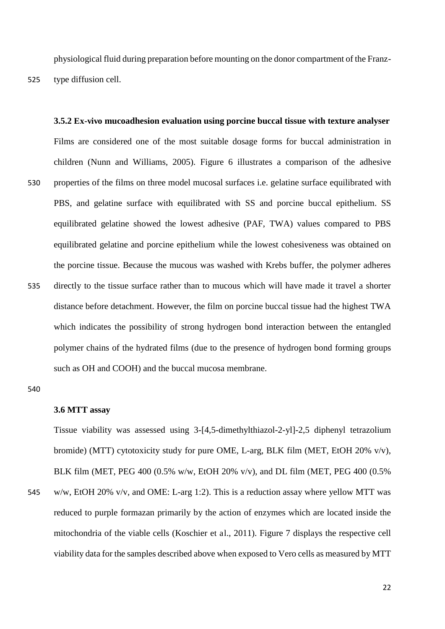physiological fluid during preparation before mounting on the donor compartment of the Franz-525 type diffusion cell.

**3.5.2 Ex-vivo mucoadhesion evaluation using porcine buccal tissue with texture analyser**  Films are considered one of the most suitable dosage forms for buccal administration in children (Nunn and Williams, 2005). Figure 6 illustrates a comparison of the adhesive 530 properties of the films on three model mucosal surfaces i.e. gelatine surface equilibrated with PBS, and gelatine surface with equilibrated with SS and porcine buccal epithelium. SS equilibrated gelatine showed the lowest adhesive (PAF, TWA) values compared to PBS equilibrated gelatine and porcine epithelium while the lowest cohesiveness was obtained on the porcine tissue. Because the mucous was washed with Krebs buffer, the polymer adheres 535 directly to the tissue surface rather than to mucous which will have made it travel a shorter distance before detachment. However, the film on porcine buccal tissue had the highest TWA which indicates the possibility of strong hydrogen bond interaction between the entangled polymer chains of the hydrated films (due to the presence of hydrogen bond forming groups such as OH and COOH) and the buccal mucosa membrane.

540

#### **3.6 MTT assay**

Tissue viability was assessed using 3-[4,5-dimethylthiazol-2-yl]-2,5 diphenyl tetrazolium bromide) (MTT) cytotoxicity study for pure OME, L-arg, BLK film (MET, EtOH 20% v/v), BLK film (MET, PEG 400 (0.5% w/w, EtOH 20% v/v), and DL film (MET, PEG 400 (0.5%

545 w/w, EtOH 20% v/v, and OME: L-arg 1:2). This is a reduction assay where yellow MTT was reduced to purple formazan primarily by the action of enzymes which are located inside the mitochondria of the viable cells (Koschier et al., 2011). Figure 7 displays the respective cell viability data for the samples described above when exposed to Vero cells as measured by MTT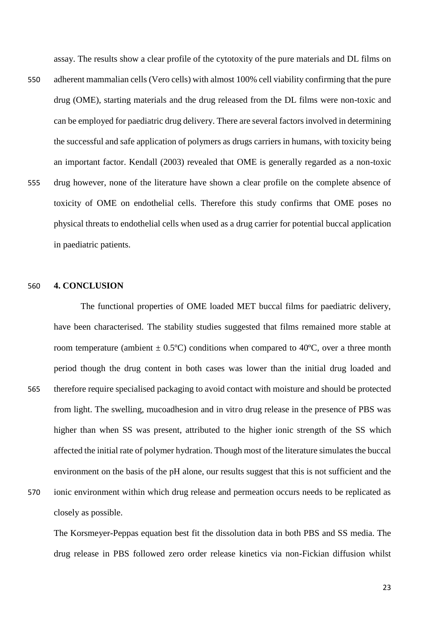assay. The results show a clear profile of the cytotoxity of the pure materials and DL films on

550 adherent mammalian cells (Vero cells) with almost 100% cell viability confirming that the pure drug (OME), starting materials and the drug released from the DL films were non-toxic and can be employed for paediatric drug delivery. There are several factors involved in determining the successful and safe application of polymers as drugs carriers in humans, with toxicity being an important factor. Kendall (2003) revealed that OME is generally regarded as a non-toxic 555 drug however, none of the literature have shown a clear profile on the complete absence of toxicity of OME on endothelial cells. Therefore this study confirms that OME poses no physical threats to endothelial cells when used as a drug carrier for potential buccal application in paediatric patients.

#### 560 **4. CONCLUSION**

The functional properties of OME loaded MET buccal films for paediatric delivery, have been characterised. The stability studies suggested that films remained more stable at room temperature (ambient  $\pm$  0.5°C) conditions when compared to 40°C, over a three month period though the drug content in both cases was lower than the initial drug loaded and 565 therefore require specialised packaging to avoid contact with moisture and should be protected from light. The swelling, mucoadhesion and in vitro drug release in the presence of PBS was higher than when SS was present, attributed to the higher ionic strength of the SS which affected the initial rate of polymer hydration. Though most of the literature simulates the buccal environment on the basis of the pH alone, our results suggest that this is not sufficient and the

570 ionic environment within which drug release and permeation occurs needs to be replicated as closely as possible.

The Korsmeyer-Peppas equation best fit the dissolution data in both PBS and SS media. The drug release in PBS followed zero order release kinetics via non-Fickian diffusion whilst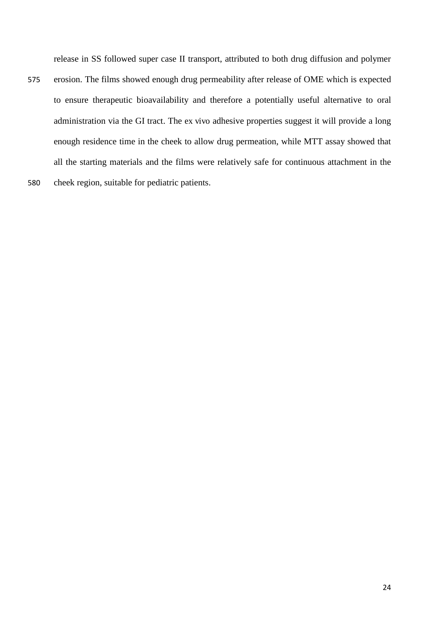release in SS followed super case II transport, attributed to both drug diffusion and polymer

24

575 erosion. The films showed enough drug permeability after release of OME which is expected to ensure therapeutic bioavailability and therefore a potentially useful alternative to oral administration via the GI tract. The ex vivo adhesive properties suggest it will provide a long enough residence time in the cheek to allow drug permeation, while MTT assay showed that all the starting materials and the films were relatively safe for continuous attachment in the 580 cheek region, suitable for pediatric patients.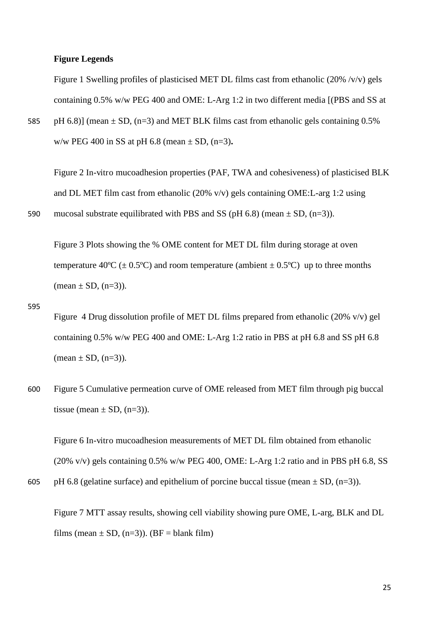#### **Figure Legends**

Figure 1 Swelling profiles of plasticised MET DL films cast from ethanolic (20% /v/v) gels containing 0.5% w/w PEG 400 and OME: L-Arg 1:2 in two different media [(PBS and SS at

585 pH 6.8)] (mean  $\pm$  SD, (n=3) and MET BLK films cast from ethanolic gels containing 0.5% w/w PEG 400 in SS at pH 6.8 (mean ± SD, (n=3)**.** 

Figure 2 In-vitro mucoadhesion properties (PAF, TWA and cohesiveness) of plasticised BLK and DL MET film cast from ethanolic (20% v/v) gels containing OME:L-arg 1:2 using 590 mucosal substrate equilibrated with PBS and SS (pH 6.8) (mean  $\pm$  SD, (n=3)).

Figure 3 Plots showing the % OME content for MET DL film during storage at oven temperature 40<sup>o</sup>C ( $\pm$  0.5<sup>o</sup>C) and room temperature (ambient  $\pm$  0.5<sup>o</sup>C) up to three months  $(mean \pm SD, (n=3)).$ 

- 595 Figure 4 Drug dissolution profile of MET DL films prepared from ethanolic (20% v/v) gel containing 0.5% w/w PEG 400 and OME: L-Arg 1:2 ratio in PBS at pH 6.8 and SS pH 6.8  $(mean \pm SD, (n=3)).$
- 600 Figure 5 Cumulative permeation curve of OME released from MET film through pig buccal tissue (mean  $\pm$  SD, (n=3)).

Figure 6 In-vitro mucoadhesion measurements of MET DL film obtained from ethanolic (20% v/v) gels containing 0.5% w/w PEG 400, OME: L-Arg 1:2 ratio and in PBS pH 6.8, SS

605 pH 6.8 (gelatine surface) and epithelium of porcine buccal tissue (mean  $\pm$  SD, (n=3)).

Figure 7 MTT assay results, showing cell viability showing pure OME, L-arg, BLK and DL films (mean  $\pm$  SD, (n=3)). (BF = blank film)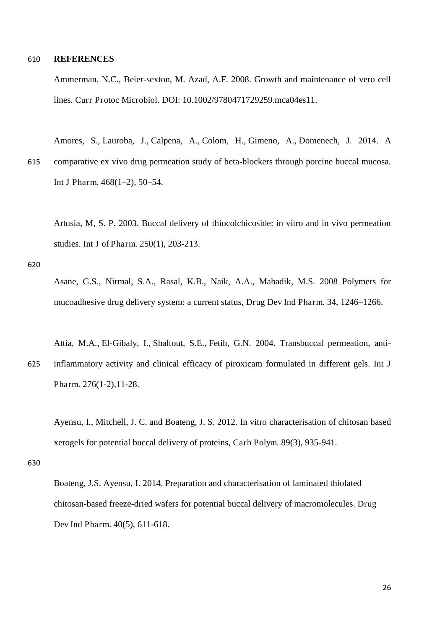#### 610 **REFERENCES**

Ammerman, N.C., Beier-sexton, M. Azad, A.F. 2008. Growth and maintenance of vero cell lines. Curr Protoc Microbiol. DOI: 10.1002/9780471729259.mca04es11.

Amores, S., Lauroba, J., Calpena, A., Colom, H., Gimeno, A., Domenech, J. 2014. A 615 comparative ex vivo drug permeation study of beta-blockers through porcine buccal mucosa. Int J Pharm. 468(1–2), 50–54.

Artusia, M, S. P. 2003. Buccal delivery of thiocolchicoside: in vitro and in vivo permeation studies. Int J of Pharm. 250(1), 203-213.

620

Asane, G.S., Nirmal, S.A., Rasal, K.B., Naik, A.A., Mahadik, M.S. 2008 Polymers for mucoadhesive drug delivery system: a current status, Drug Dev Ind Pharm. 34, 1246–1266.

Attia, M.A., El-Gibaly, I., Shaltout, S.E., Fetih, G.N. 2004. Transbuccal permeation, anti-625 inflammatory activity and clinical efficacy of piroxicam formulated in different gels. Int J Pharm. 276(1-2),11-28.

Ayensu, I., Mitchell, J. C. and Boateng, J. S. 2012. In vitro characterisation of chitosan based xerogels for potential buccal delivery of proteins, Carb Polym. 89(3), 935-941.

630

Boateng, J.S. Ayensu, I. 2014. Preparation and characterisation of laminated thiolated chitosan-based freeze-dried wafers for potential buccal delivery of macromolecules. Drug Dev Ind Pharm. 40(5), 611-618.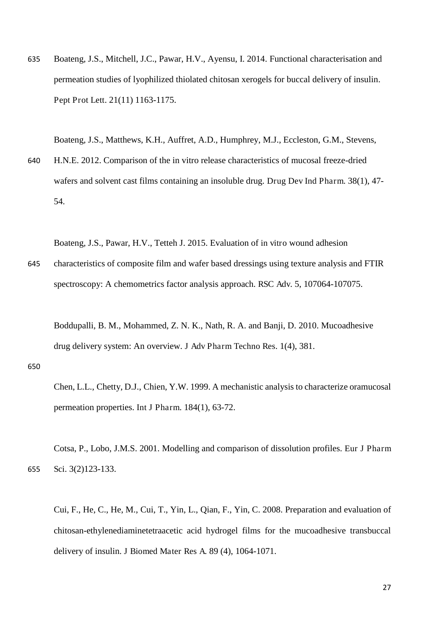635 Boateng, J.S., Mitchell, J.C., Pawar, H.V., Ayensu, I. 2014. Functional characterisation and permeation studies of lyophilized thiolated chitosan xerogels for buccal delivery of insulin. Pept Prot Lett. 21(11) 1163-1175.

Boateng, J.S., Matthews, K.H., Auffret, A.D., Humphrey, M.J., Eccleston, G.M., Stevens,

640 H.N.E. 2012. Comparison of the in vitro release characteristics of mucosal freeze-dried wafers and solvent cast films containing an insoluble drug. Drug Dev Ind Pharm. 38(1), 47- 54.

Boateng, J.S., Pawar, H.V., Tetteh J. 2015. Evaluation of in vitro wound adhesion

645 characteristics of composite film and wafer based dressings using texture analysis and FTIR spectroscopy: A chemometrics factor analysis approach. RSC Adv. 5, 107064-107075.

Boddupalli, B. M., Mohammed, Z. N. K., Nath, R. A. and Banji, D. 2010. Mucoadhesive drug delivery system: An overview. J Adv Pharm Techno Res. 1(4), 381.

#### 650

Chen, L.L., Chetty, D.J., Chien, Y.W. 1999. A mechanistic analysis to characterize oramucosal permeation properties. Int J Pharm. 184(1), 63-72.

Cotsa, P., Lobo, J.M.S. 2001. Modelling and comparison of dissolution profiles. Eur J Pharm 655 Sci. 3(2)123-133.

Cui, F., He, C., He, M., Cui, T., Yin, L., Qian, F., Yin, C. 2008. Preparation and evaluation of chitosan-ethylenediaminetetraacetic acid hydrogel films for the mucoadhesive transbuccal delivery of insulin. J Biomed Mater Res A. 89 (4), 1064-1071.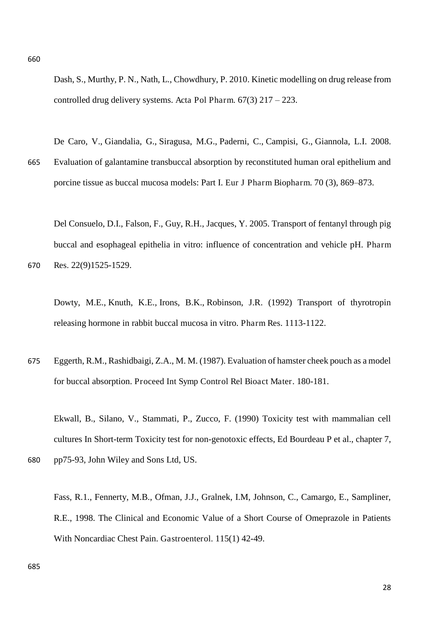Dash, S., Murthy, P. N., Nath, L., Chowdhury, P. 2010. Kinetic modelling on drug release from controlled drug delivery systems. Acta Pol Pharm. 67(3) 217 – 223.

De Caro, V., Giandalia, G., Siragusa, M.G., Paderni, C., Campisi, G., Giannola, L.I. 2008. 665 Evaluation of galantamine transbuccal absorption by reconstituted human oral epithelium and porcine tissue as buccal mucosa models: Part I. Eur J Pharm Biopharm. 70 (3), 869–873.

Del Consuelo, D.I., Falson, F., Guy, R.H., Jacques, Y. 2005. Transport of fentanyl through pig buccal and esophageal epithelia in vitro: influence of concentration and vehicle pH. Pharm 670 Res. 22(9)1525-1529.

Dowty, M.E., Knuth, K.E., Irons, B.K., Robinson, J.R. (1992) Transport of thyrotropin releasing hormone in rabbit buccal mucosa in vitro. Pharm Res. 1113-1122.

675 Eggerth, R.M., Rashidbaigi, Z.A., M. M. (1987). Evaluation of hamster cheek pouch as a model for buccal absorption. Proceed Int Symp Control Rel Bioact Mater. 180-181.

Ekwall, B., Silano, V., Stammati, P., Zucco, F. (1990) Toxicity test with mammalian cell cultures In Short-term Toxicity test for non-genotoxic effects, Ed Bourdeau P et al., chapter 7, 680 pp75-93, John Wiley and Sons Ltd, US.

Fass, R.1., Fennerty, M.B., Ofman, J.J., Gralnek, I.M, Johnson, C., Camargo, E., Sampliner, R.E., 1998. The Clinical and Economic Value of a Short Course of Omeprazole in Patients With Noncardiac Chest Pain. Gastroenterol. 115(1) 42-49.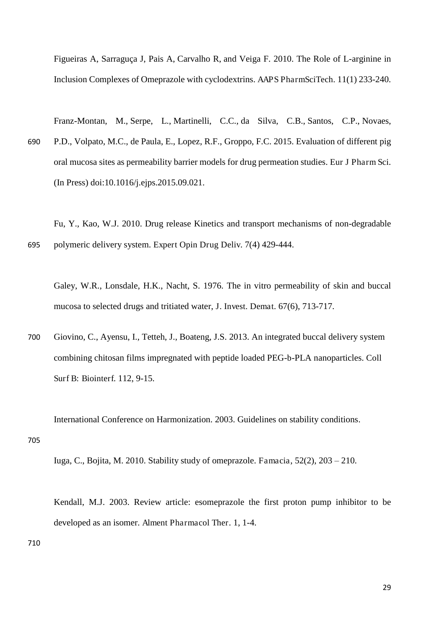Figueiras A, Sarraguça J, Pais A, Carvalho R, and Veiga F. 2010. The Role of L-arginine in Inclusion Complexes of Omeprazole with cyclodextrins. AAPS PharmSciTech. 11(1) 233-240.

Franz-Montan, M., Serpe, L., Martinelli, C.C., da Silva, C.B., Santos, C.P., Novaes, 690 P.D., Volpato, M.C., de Paula, E., Lopez, R.F., Groppo, F.C. 2015. Evaluation of different pig oral mucosa sites as permeability barrier models for drug permeation studies. Eur J Pharm Sci. [\(In Press\)](http://www.sciencedirect.com/science/journal/aip/09280987) doi:10.1016/j.ejps.2015.09.021.

Fu, Y., Kao, W.J. 2010. Drug release Kinetics and transport mechanisms of non-degradable 695 polymeric delivery system. Expert Opin Drug Deliv. 7(4) 429-444.

Galey, W.R., Lonsdale, H.K., Nacht, S. 1976. The in vitro permeability of skin and buccal mucosa to selected drugs and tritiated water, J. Invest. Demat. 67(6), 713-717.

700 Giovino, C., Ayensu, I., Tetteh, J., Boateng, J.S. 2013. An integrated buccal delivery system combining chitosan films impregnated with peptide loaded PEG-b-PLA nanoparticles. Coll Surf B: Biointerf. 112, 9-15.

International Conference on Harmonization. 2003. Guidelines on stability conditions.

705

Iuga, C., Bojita, M. 2010. Stability study of omeprazole. Famacia, 52(2), 203 – 210.

Kendall, M.J. 2003. Review article: esomeprazole the first proton pump inhibitor to be developed as an isomer. Alment Pharmacol Ther. 1, 1-4.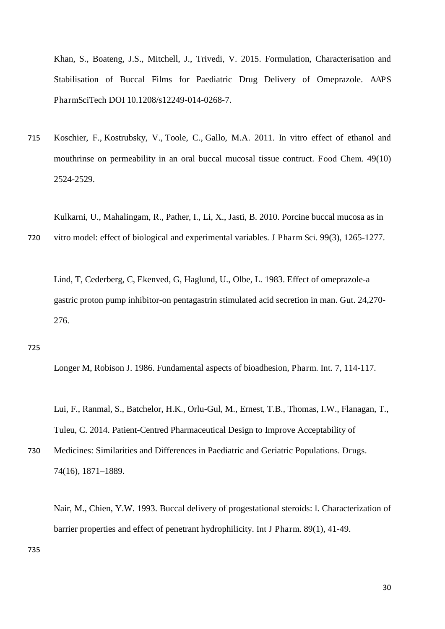Khan, S., Boateng, J.S., Mitchell, J., Trivedi, V. 2015. Formulation, Characterisation and Stabilisation of Buccal Films for Paediatric Drug Delivery of Omeprazole. AAPS PharmSciTech DOI 10.1208/s12249-014-0268-7.

715 Koschier, F., Kostrubsky, V., Toole, C., Gallo, M.A. 2011. In vitro effect of ethanol and mouthrinse on permeability in an oral buccal mucosal tissue contruct. Food Chem. 49(10) 2524-2529.

Kulkarni, U., Mahalingam, R., Pather, I., Li, X., Jasti, B. 2010. Porcine buccal mucosa as in

720 vitro model: effect of biological and experimental variables. J Pharm Sci. 99(3), 1265-1277.

Lind, T, Cederberg, C, Ekenved, G, Haglund, U., Olbe, L. 1983. Effect of omeprazole-a gastric proton pump inhibitor-on pentagastrin stimulated acid secretion in man. Gut. 24,270- 276.

#### 725

Longer M, Robison J. 1986. Fundamental aspects of bioadhesion, Pharm. Int. 7, 114-117.

Lui, F., Ranmal, S., Batchelor, H.K., Orlu-Gul, M., Ernest, T.B., Thomas, I.W., Flanagan, T., Tuleu, C. 2014. Patient-Centred Pharmaceutical Design to Improve Acceptability of

730 Medicines: Similarities and Differences in Paediatric and Geriatric Populations. Drugs. 74(16), 1871–1889.

Nair, M., Chien, Y.W. 1993. Buccal delivery of progestational steroids: l. Characterization of barrier properties and effect of penetrant hydrophilicity. Int J Pharm. 89(1), 41-49.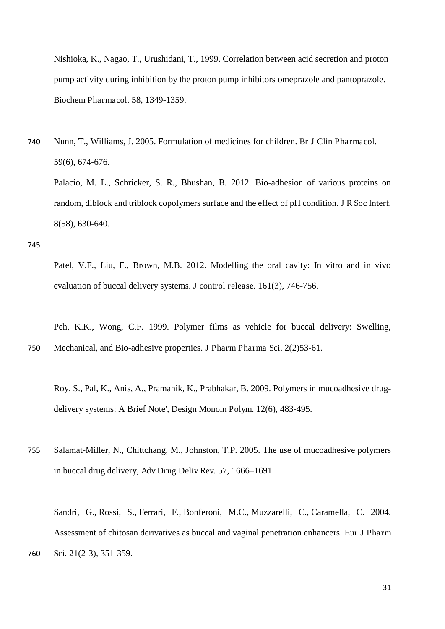Nishioka, K., Nagao, T., Urushidani, T., 1999. Correlation between acid secretion and proton pump activity during inhibition by the proton pump inhibitors omeprazole and pantoprazole. Biochem Pharmacol. 58, 1349-1359.

740 Nunn, T., Williams, J. 2005. Formulation of medicines for children. Br J Clin Pharmacol. 59(6), 674-676.

Palacio, M. L., Schricker, S. R., Bhushan, B. 2012. Bio-adhesion of various proteins on random, diblock and triblock copolymers surface and the effect of pH condition. J R Soc Interf. 8(58), 630-640.

745

Patel, V.F., Liu, F., Brown, M.B. 2012. Modelling the oral cavity: In vitro and in vivo evaluation of buccal delivery systems. J control release. 161(3), 746-756.

Peh, K.K., Wong, C.F. 1999. Polymer films as vehicle for buccal delivery: Swelling, 750 Mechanical, and Bio-adhesive properties. J Pharm Pharma Sci. 2(2)53-61.

Roy, S., Pal, K., Anis, A., Pramanik, K., Prabhakar, B. 2009. Polymers in mucoadhesive drugdelivery systems: A Brief Note', Design Monom Polym. 12(6), 483-495.

755 Salamat-Miller, N., Chittchang, M., Johnston, T.P. 2005. The use of mucoadhesive polymers in buccal drug delivery, Adv Drug Deliv Rev. 57, 1666–1691.

Sandri, G., Rossi, S., Ferrari, F., Bonferoni, M.C., Muzzarelli, C., Caramella, C. 2004. Assessment of chitosan derivatives as buccal and vaginal penetration enhancers. Eur J Pharm 760 Sci. 21(2-3), 351-359.